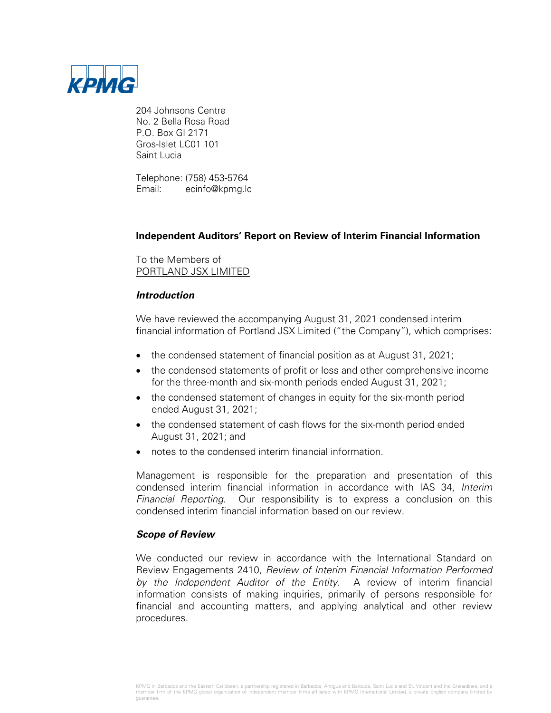

204 Johnsons Centre No. 2 Bella Rosa Road P.O. Box GI 2171 Gros-Islet LC01 101 Saint Lucia

Telephone: (758) 453-5764 Email: ecinfo@kpmg.lc

## **Independent Auditors' Report on Review of Interim Financial Information**

To the Members of PORTLAND JSX LIMITED

### **Introduction**

We have reviewed the accompanying August 31, 2021 condensed interim financial information of Portland JSX Limited ("the Company"), which comprises:

- the condensed statement of financial position as at August 31, 2021;
- the condensed statements of profit or loss and other comprehensive income for the three-month and six-month periods ended August 31, 2021;
- the condensed statement of changes in equity for the six-month period ended August 31, 2021;
- the condensed statement of cash flows for the six-month period ended August 31, 2021; and
- notes to the condensed interim financial information.

Management is responsible for the preparation and presentation of this condensed interim financial information in accordance with IAS 34, Interim Financial Reporting. Our responsibility is to express a conclusion on this condensed interim financial information based on our review.

### **Scope of Review**

We conducted our review in accordance with the International Standard on Review Engagements 2410, Review of Interim Financial Information Performed by the Independent Auditor of the Entity. A review of interim financial information consists of making inquiries, primarily of persons responsible for financial and accounting matters, and applying analytical and other review procedures.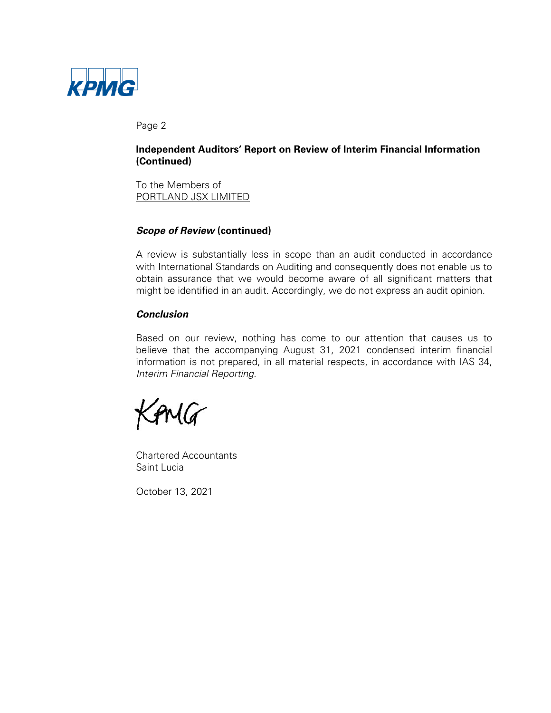

Page 2

## **Independent Auditors' Report on Review of Interim Financial Information (Continued)**

To the Members of PORTLAND JSX LIMITED

## **Scope of Review (continued)**

A review is substantially less in scope than an audit conducted in accordance with International Standards on Auditing and consequently does not enable us to obtain assurance that we would become aware of all significant matters that might be identified in an audit. Accordingly, we do not express an audit opinion.

## **Conclusion**

Based on our review, nothing has come to our attention that causes us to believe that the accompanying August 31, 2021 condensed interim financial information is not prepared, in all material respects, in accordance with IAS 34, Interim Financial Reporting.

SPMG

Chartered Accountants Saint Lucia

October 13, 2021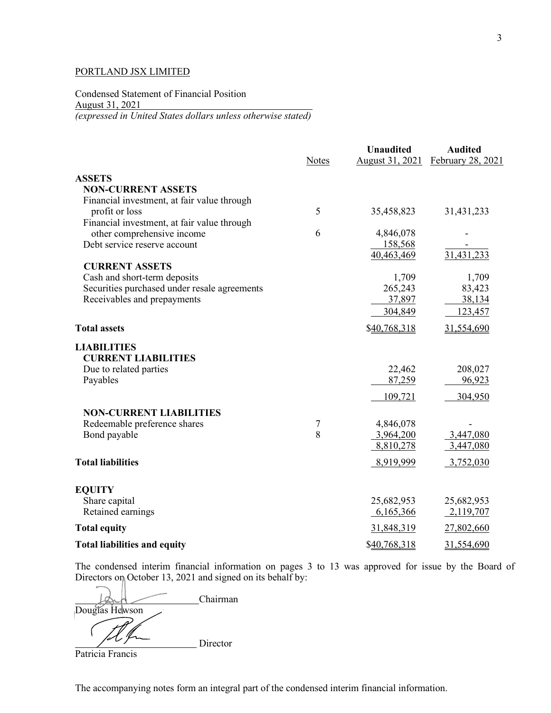Condensed Statement of Financial Position August 31, 2021 *(expressed in United States dollars unless otherwise stated)* 

|                                                                              |              | <b>Unaudited</b> | <b>Audited</b>    |
|------------------------------------------------------------------------------|--------------|------------------|-------------------|
|                                                                              | <b>Notes</b> | August 31, 2021  | February 28, 2021 |
| <b>ASSETS</b>                                                                |              |                  |                   |
| <b>NON-CURRENT ASSETS</b>                                                    |              |                  |                   |
| Financial investment, at fair value through                                  |              |                  |                   |
| profit or loss                                                               | 5            | 35,458,823       | 31,431,233        |
| Financial investment, at fair value through                                  |              |                  |                   |
| other comprehensive income                                                   | 6            | 4,846,078        |                   |
| Debt service reserve account                                                 |              | 158,568          |                   |
|                                                                              |              | 40,463,469       | 31,431,233        |
| <b>CURRENT ASSETS</b>                                                        |              |                  |                   |
| Cash and short-term deposits<br>Securities purchased under resale agreements |              | 1,709<br>265,243 | 1,709<br>83,423   |
| Receivables and prepayments                                                  |              | 37,897           | 38,134            |
|                                                                              |              | 304,849          | 123,457           |
|                                                                              |              |                  |                   |
| <b>Total assets</b>                                                          |              | \$40,768,318     | 31,554,690        |
| <b>LIABILITIES</b>                                                           |              |                  |                   |
| <b>CURRENT LIABILITIES</b>                                                   |              |                  |                   |
| Due to related parties                                                       |              | 22,462           | 208,027           |
| Payables                                                                     |              | 87,259           | 96,923            |
|                                                                              |              | 109,721          | 304,950           |
| <b>NON-CURRENT LIABILITIES</b>                                               |              |                  |                   |
| Redeemable preference shares                                                 | 7            | 4,846,078        |                   |
| Bond payable                                                                 | 8            | 3,964,200        | 3,447,080         |
|                                                                              |              | 8,810,278        | 3,447,080         |
| <b>Total liabilities</b>                                                     |              | 8,919,999        | 3,752,030         |
| <b>EQUITY</b>                                                                |              |                  |                   |
| Share capital                                                                |              | 25,682,953       | 25,682,953        |
| Retained earnings                                                            |              | 6,165,366        | 2,119,707         |
| <b>Total equity</b>                                                          |              | 31,848,319       | 27,802,660        |
| <b>Total liabilities and equity</b>                                          |              | \$40,768,318     | 31,554,690        |

The condensed interim financial information on pages 3 to 13 was approved for issue by the Board of Directors on October 13, 2021 and signed on its behalf by:

 Chairman Douglas Hewson

Director

Patricia Francis

The accompanying notes form an integral part of the condensed interim financial information.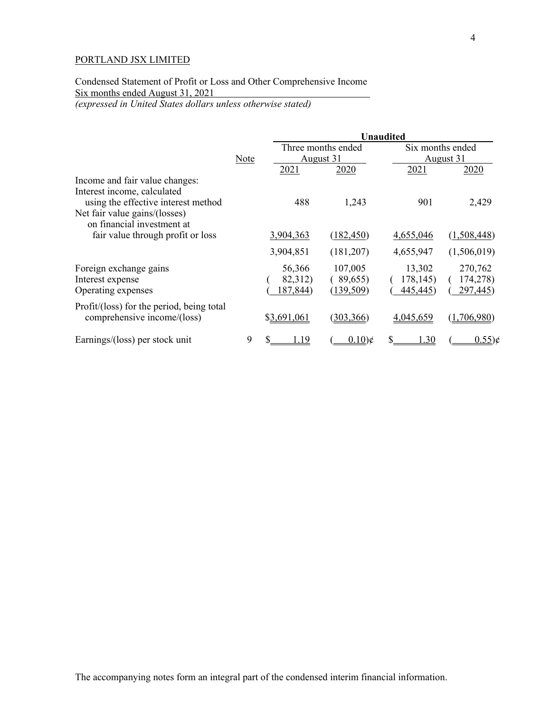# Condensed Statement of Profit or Loss and Other Comprehensive Income Six months ended August 31, 2021

*(expressed in United States dollars unless otherwise stated)*

|      |                                           | <b>Unaudited</b>  |                                                        |                    |  |
|------|-------------------------------------------|-------------------|--------------------------------------------------------|--------------------|--|
|      |                                           |                   | Six months ended                                       |                    |  |
| Note |                                           |                   |                                                        | August 31          |  |
|      | 2021                                      | 2020              | 2021                                                   | 2020               |  |
|      |                                           |                   |                                                        |                    |  |
|      |                                           |                   |                                                        |                    |  |
|      | 488                                       | 1,243             | 901                                                    | 2,429              |  |
|      |                                           |                   |                                                        |                    |  |
|      |                                           |                   |                                                        |                    |  |
|      | 3,904,363                                 | (182, 450)        | 4,655,046                                              | (1,508,448)        |  |
|      | 3,904,851                                 | (181,207)         | 4,655,947                                              | (1,506,019)        |  |
|      |                                           |                   |                                                        | 270,762            |  |
|      |                                           |                   |                                                        | 174,278)           |  |
|      | 187,844)                                  | (139,509)         | 445,445)                                               | 297,445)           |  |
|      |                                           |                   |                                                        |                    |  |
|      | \$3,691,061                               | (303, 366)        | 4,045,659                                              | (1,706,980)        |  |
| 9    | 1.19                                      | $(0.10)$ ¢        | S<br>1.30                                              | $(0.55)$ ¢         |  |
|      | Profit/(loss) for the period, being total | 56,366<br>82,312) | Three months ended<br>August 31<br>107,005<br>(89,655) | 13,302<br>178,145) |  |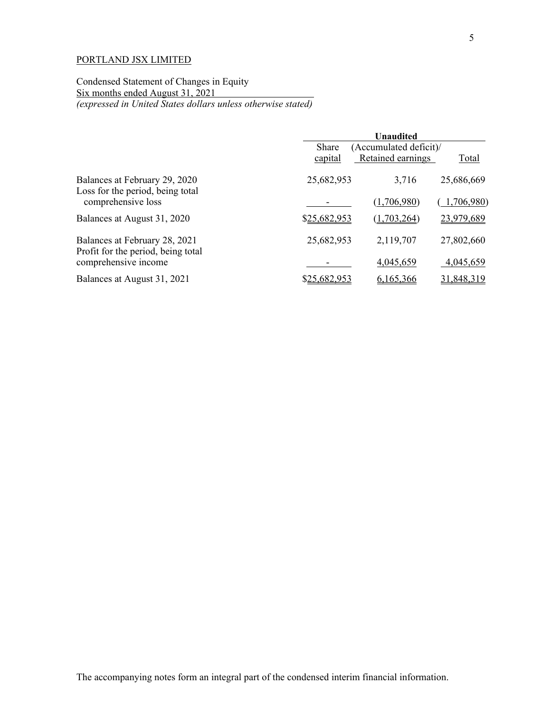Condensed Statement of Changes in Equity Six months ended August 31, 2021 *(expressed in United States dollars unless otherwise stated)*

|                                                                     | Unaudited                       |                   |            |
|---------------------------------------------------------------------|---------------------------------|-------------------|------------|
|                                                                     | (Accumulated deficit)/<br>Share |                   |            |
|                                                                     | capital                         | Retained earnings | Total      |
| Balances at February 29, 2020<br>Loss for the period, being total   | 25,682,953                      | 3,716             | 25,686,669 |
| comprehensive loss                                                  |                                 | (1,706,980)       | 1,706,980  |
| Balances at August 31, 2020                                         | \$25,682,953                    | (1,703,264)       | 23,979,689 |
| Balances at February 28, 2021<br>Profit for the period, being total | 25,682,953                      | 2,119,707         | 27,802,660 |
| comprehensive income                                                |                                 | 4,045,659         | 4,045,659  |
| Balances at August 31, 2021                                         | \$25,682,953                    | 6,165,366         | 31,848,319 |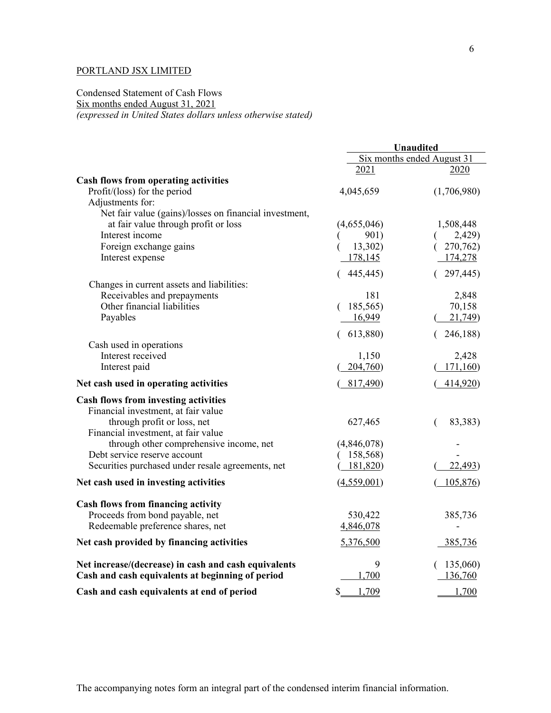Condensed Statement of Cash Flows Six months ended August 31, 2021 *(expressed in United States dollars unless otherwise stated)*

|                                                                    | <b>Unaudited</b> |                            |
|--------------------------------------------------------------------|------------------|----------------------------|
|                                                                    |                  | Six months ended August 31 |
|                                                                    | 2021             | 2020                       |
| <b>Cash flows from operating activities</b>                        |                  |                            |
| Profit/(loss) for the period                                       | 4,045,659        | (1,706,980)                |
| Adjustments for:                                                   |                  |                            |
| Net fair value (gains)/losses on financial investment,             |                  |                            |
| at fair value through profit or loss                               | (4,655,046)      | 1,508,448                  |
| Interest income                                                    | 901)             | 2,429)                     |
| Foreign exchange gains                                             | 13,302)          | 270,762)                   |
| Interest expense                                                   | <u>178,145</u>   | 174,278                    |
|                                                                    | 445,445)         | 297,445)                   |
| Changes in current assets and liabilities:                         |                  |                            |
| Receivables and prepayments                                        | 181              | 2,848                      |
| Other financial liabilities                                        | 185,565)         | 70,158                     |
| Payables                                                           | 16,949           | 21,749                     |
|                                                                    | (613,880)        | 246,188)                   |
| Cash used in operations                                            |                  |                            |
| Interest received                                                  | 1,150            | 2,428                      |
| Interest paid                                                      | 204,760)         | 171,160                    |
| Net cash used in operating activities                              | 817,490)         | 414,920                    |
|                                                                    |                  |                            |
| <b>Cash flows from investing activities</b>                        |                  |                            |
| Financial investment, at fair value                                | 627,465          | 83,383)                    |
| through profit or loss, net<br>Financial investment, at fair value |                  | (                          |
| through other comprehensive income, net                            | (4,846,078)      |                            |
| Debt service reserve account                                       | 158,568)         |                            |
| Securities purchased under resale agreements, net                  | <u>181,820</u> ) | 22,493)                    |
|                                                                    |                  |                            |
| Net cash used in investing activities                              | (4,559,001)      | 105,876)                   |
| <b>Cash flows from financing activity</b>                          |                  |                            |
| Proceeds from bond payable, net                                    | 530,422          | 385,736                    |
| Redeemable preference shares, net                                  | 4,846,078        |                            |
| Net cash provided by financing activities                          | 5,376,500        | 385,736                    |
| Net increase/(decrease) in cash and cash equivalents               | 9                | 135,060)                   |
| Cash and cash equivalents at beginning of period                   | 1,700            | 136,760                    |
|                                                                    |                  |                            |
| Cash and cash equivalents at end of period                         | \$<br>1,709      | 1,700                      |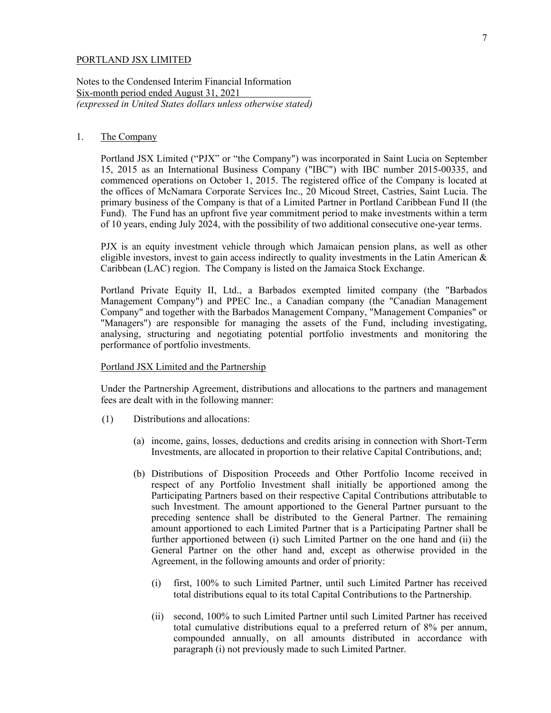Notes to the Condensed Interim Financial Information Six-month period ended August 31, 2021 *(expressed in United States dollars unless otherwise stated)*

#### 1. The Company

Portland JSX Limited ("PJX" or "the Company") was incorporated in Saint Lucia on September 15, 2015 as an International Business Company ("IBC") with IBC number 2015-00335, and commenced operations on October 1, 2015. The registered office of the Company is located at the offices of McNamara Corporate Services Inc., 20 Micoud Street, Castries, Saint Lucia. The primary business of the Company is that of a Limited Partner in Portland Caribbean Fund II (the Fund). The Fund has an upfront five year commitment period to make investments within a term of 10 years, ending July 2024, with the possibility of two additional consecutive one-year terms.

PJX is an equity investment vehicle through which Jamaican pension plans, as well as other eligible investors, invest to gain access indirectly to quality investments in the Latin American & Caribbean (LAC) region. The Company is listed on the Jamaica Stock Exchange.

Portland Private Equity II, Ltd., a Barbados exempted limited company (the "Barbados Management Company") and PPEC Inc., a Canadian company (the "Canadian Management Company" and together with the Barbados Management Company, "Management Companies" or "Managers") are responsible for managing the assets of the Fund, including investigating, analysing, structuring and negotiating potential portfolio investments and monitoring the performance of portfolio investments.

#### Portland JSX Limited and the Partnership

Under the Partnership Agreement, distributions and allocations to the partners and management fees are dealt with in the following manner:

- (1) Distributions and allocations:
	- (a) income, gains, losses, deductions and credits arising in connection with Short-Term Investments, are allocated in proportion to their relative Capital Contributions, and;
	- (b) Distributions of Disposition Proceeds and Other Portfolio Income received in respect of any Portfolio Investment shall initially be apportioned among the Participating Partners based on their respective Capital Contributions attributable to such Investment. The amount apportioned to the General Partner pursuant to the preceding sentence shall be distributed to the General Partner. The remaining amount apportioned to each Limited Partner that is a Participating Partner shall be further apportioned between (i) such Limited Partner on the one hand and (ii) the General Partner on the other hand and, except as otherwise provided in the Agreement, in the following amounts and order of priority:
		- (i) first, 100% to such Limited Partner, until such Limited Partner has received total distributions equal to its total Capital Contributions to the Partnership.
		- (ii) second, 100% to such Limited Partner until such Limited Partner has received total cumulative distributions equal to a preferred return of 8% per annum, compounded annually, on all amounts distributed in accordance with paragraph (i) not previously made to such Limited Partner.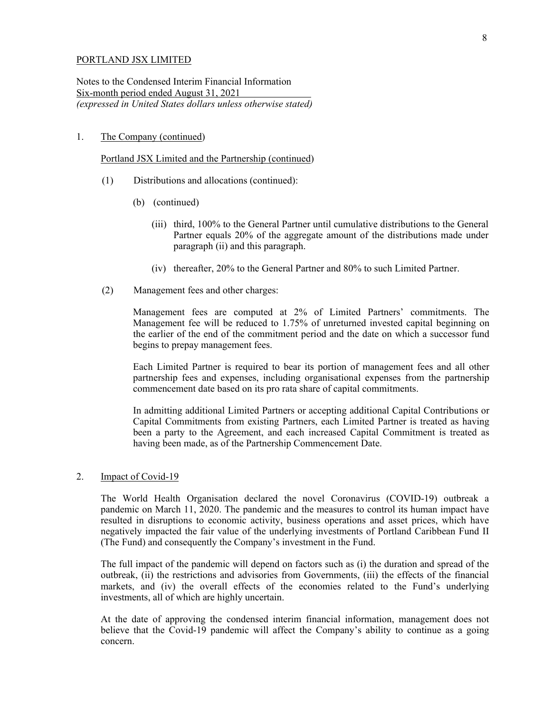Notes to the Condensed Interim Financial Information Six-month period ended August 31, 2021 *(expressed in United States dollars unless otherwise stated)*

#### 1. The Company (continued)

Portland JSX Limited and the Partnership (continued)

- (1) Distributions and allocations (continued):
	- (b) (continued)
		- (iii) third, 100% to the General Partner until cumulative distributions to the General Partner equals 20% of the aggregate amount of the distributions made under paragraph (ii) and this paragraph.
		- (iv) thereafter, 20% to the General Partner and 80% to such Limited Partner.
- (2) Management fees and other charges:

Management fees are computed at 2% of Limited Partners' commitments. The Management fee will be reduced to 1.75% of unreturned invested capital beginning on the earlier of the end of the commitment period and the date on which a successor fund begins to prepay management fees.

Each Limited Partner is required to bear its portion of management fees and all other partnership fees and expenses, including organisational expenses from the partnership commencement date based on its pro rata share of capital commitments.

In admitting additional Limited Partners or accepting additional Capital Contributions or Capital Commitments from existing Partners, each Limited Partner is treated as having been a party to the Agreement, and each increased Capital Commitment is treated as having been made, as of the Partnership Commencement Date.

#### 2. Impact of Covid-19

The World Health Organisation declared the novel Coronavirus (COVID-19) outbreak a pandemic on March 11, 2020. The pandemic and the measures to control its human impact have resulted in disruptions to economic activity, business operations and asset prices, which have negatively impacted the fair value of the underlying investments of Portland Caribbean Fund II (The Fund) and consequently the Company's investment in the Fund.

The full impact of the pandemic will depend on factors such as (i) the duration and spread of the outbreak, (ii) the restrictions and advisories from Governments, (iii) the effects of the financial markets, and (iv) the overall effects of the economies related to the Fund's underlying investments, all of which are highly uncertain.

At the date of approving the condensed interim financial information, management does not believe that the Covid-19 pandemic will affect the Company's ability to continue as a going concern.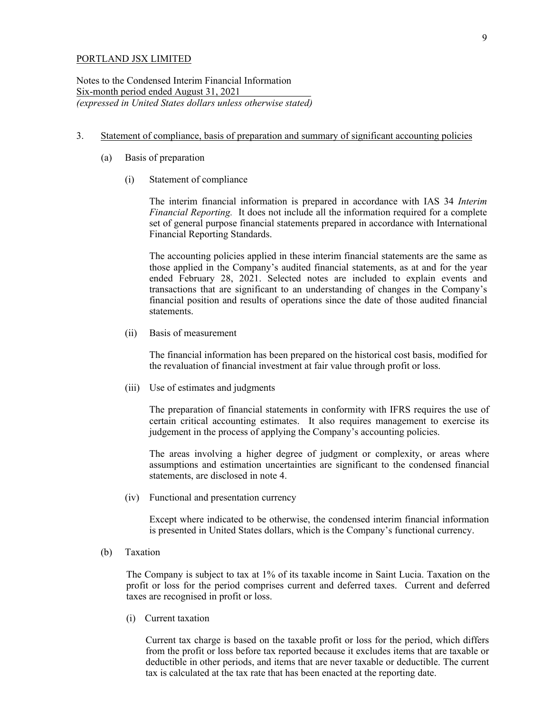Notes to the Condensed Interim Financial Information Six-month period ended August 31, 2021 *(expressed in United States dollars unless otherwise stated)*

- 3. Statement of compliance, basis of preparation and summary of significant accounting policies
	- (a) Basis of preparation
		- (i) Statement of compliance

The interim financial information is prepared in accordance with IAS 34 *Interim Financial Reporting.* It does not include all the information required for a complete set of general purpose financial statements prepared in accordance with International Financial Reporting Standards.

The accounting policies applied in these interim financial statements are the same as those applied in the Company's audited financial statements, as at and for the year ended February 28, 2021. Selected notes are included to explain events and transactions that are significant to an understanding of changes in the Company's financial position and results of operations since the date of those audited financial statements.

(ii) Basis of measurement

The financial information has been prepared on the historical cost basis, modified for the revaluation of financial investment at fair value through profit or loss.

(iii) Use of estimates and judgments

The preparation of financial statements in conformity with IFRS requires the use of certain critical accounting estimates. It also requires management to exercise its judgement in the process of applying the Company's accounting policies.

The areas involving a higher degree of judgment or complexity, or areas where assumptions and estimation uncertainties are significant to the condensed financial statements, are disclosed in note 4.

(iv) Functional and presentation currency

Except where indicated to be otherwise, the condensed interim financial information is presented in United States dollars, which is the Company's functional currency.

(b) Taxation

The Company is subject to tax at 1% of its taxable income in Saint Lucia. Taxation on the profit or loss for the period comprises current and deferred taxes. Current and deferred taxes are recognised in profit or loss.

(i) Current taxation

Current tax charge is based on the taxable profit or loss for the period, which differs from the profit or loss before tax reported because it excludes items that are taxable or deductible in other periods, and items that are never taxable or deductible. The current tax is calculated at the tax rate that has been enacted at the reporting date.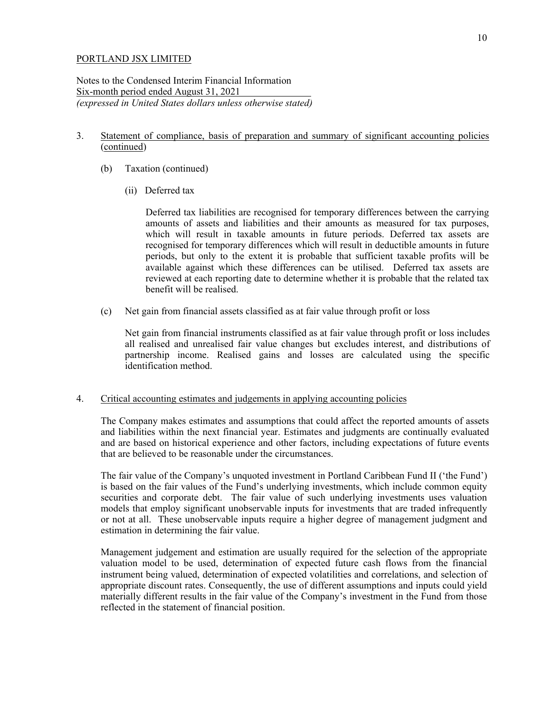Notes to the Condensed Interim Financial Information Six-month period ended August 31, 2021 *(expressed in United States dollars unless otherwise stated)*

- 3. Statement of compliance, basis of preparation and summary of significant accounting policies (continued)
	- (b) Taxation (continued)
		- (ii) Deferred tax

Deferred tax liabilities are recognised for temporary differences between the carrying amounts of assets and liabilities and their amounts as measured for tax purposes, which will result in taxable amounts in future periods. Deferred tax assets are recognised for temporary differences which will result in deductible amounts in future periods, but only to the extent it is probable that sufficient taxable profits will be available against which these differences can be utilised. Deferred tax assets are reviewed at each reporting date to determine whether it is probable that the related tax benefit will be realised.

(c) Net gain from financial assets classified as at fair value through profit or loss

Net gain from financial instruments classified as at fair value through profit or loss includes all realised and unrealised fair value changes but excludes interest, and distributions of partnership income. Realised gains and losses are calculated using the specific identification method.

#### 4. Critical accounting estimates and judgements in applying accounting policies

The Company makes estimates and assumptions that could affect the reported amounts of assets and liabilities within the next financial year. Estimates and judgments are continually evaluated and are based on historical experience and other factors, including expectations of future events that are believed to be reasonable under the circumstances.

The fair value of the Company's unquoted investment in Portland Caribbean Fund II ('the Fund') is based on the fair values of the Fund's underlying investments, which include common equity securities and corporate debt. The fair value of such underlying investments uses valuation models that employ significant unobservable inputs for investments that are traded infrequently or not at all. These unobservable inputs require a higher degree of management judgment and estimation in determining the fair value.

Management judgement and estimation are usually required for the selection of the appropriate valuation model to be used, determination of expected future cash flows from the financial instrument being valued, determination of expected volatilities and correlations, and selection of appropriate discount rates. Consequently, the use of different assumptions and inputs could yield materially different results in the fair value of the Company's investment in the Fund from those reflected in the statement of financial position.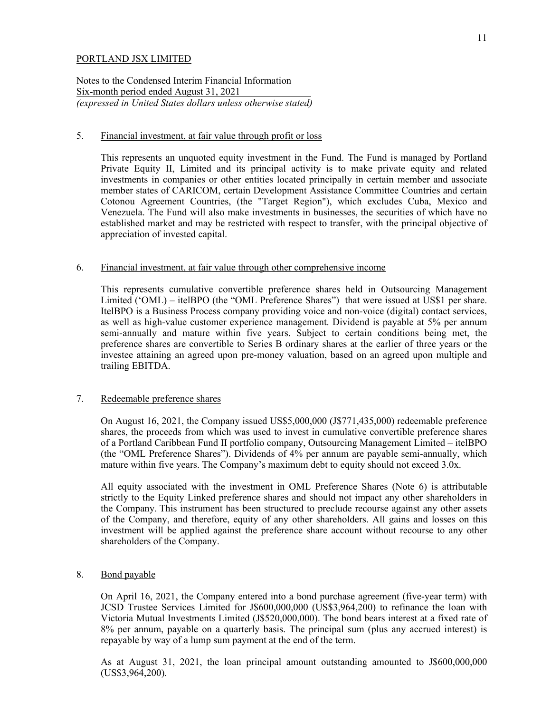Notes to the Condensed Interim Financial Information Six-month period ended August 31, 2021 *(expressed in United States dollars unless otherwise stated)*

#### 5. Financial investment, at fair value through profit or loss

This represents an unquoted equity investment in the Fund. The Fund is managed by Portland Private Equity II, Limited and its principal activity is to make private equity and related investments in companies or other entities located principally in certain member and associate member states of CARICOM, certain Development Assistance Committee Countries and certain Cotonou Agreement Countries, (the "Target Region"), which excludes Cuba, Mexico and Venezuela. The Fund will also make investments in businesses, the securities of which have no established market and may be restricted with respect to transfer, with the principal objective of appreciation of invested capital.

#### 6. Financial investment, at fair value through other comprehensive income

This represents cumulative convertible preference shares held in Outsourcing Management Limited ('OML) – itelBPO (the "OML Preference Shares") that were issued at US\$1 per share. ItelBPO is a Business Process company providing voice and non-voice (digital) contact services, as well as high-value customer experience management. Dividend is payable at 5% per annum semi-annually and mature within five years. Subject to certain conditions being met, the preference shares are convertible to Series B ordinary shares at the earlier of three years or the investee attaining an agreed upon pre-money valuation, based on an agreed upon multiple and trailing EBITDA.

#### 7. Redeemable preference shares

On August 16, 2021, the Company issued US\$5,000,000 (J\$771,435,000) redeemable preference shares, the proceeds from which was used to invest in cumulative convertible preference shares of a Portland Caribbean Fund II portfolio company, Outsourcing Management Limited – itelBPO (the "OML Preference Shares"). Dividends of 4% per annum are payable semi-annually, which mature within five years. The Company's maximum debt to equity should not exceed 3.0x.

All equity associated with the investment in OML Preference Shares (Note 6) is attributable strictly to the Equity Linked preference shares and should not impact any other shareholders in the Company. This instrument has been structured to preclude recourse against any other assets of the Company, and therefore, equity of any other shareholders. All gains and losses on this investment will be applied against the preference share account without recourse to any other shareholders of the Company.

8. Bond payable

On April 16, 2021, the Company entered into a bond purchase agreement (five-year term) with JCSD Trustee Services Limited for J\$600,000,000 (US\$3,964,200) to refinance the loan with Victoria Mutual Investments Limited (J\$520,000,000). The bond bears interest at a fixed rate of 8% per annum, payable on a quarterly basis. The principal sum (plus any accrued interest) is repayable by way of a lump sum payment at the end of the term.

As at August 31, 2021, the loan principal amount outstanding amounted to J\$600,000,000 (US\$3,964,200).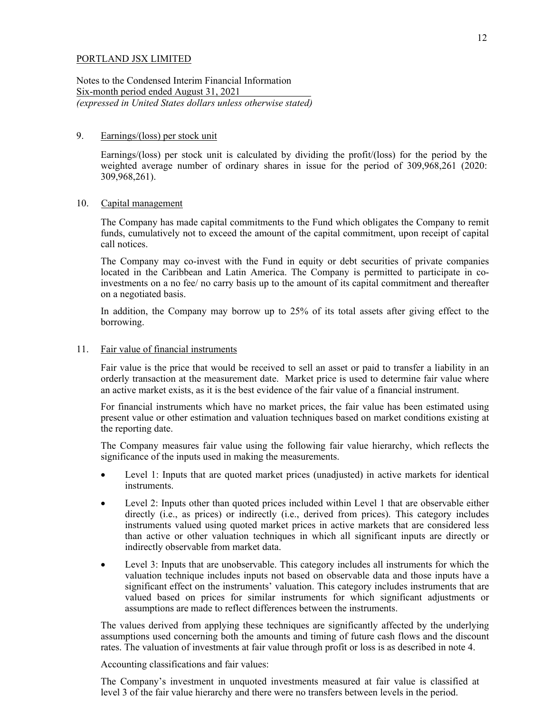Notes to the Condensed Interim Financial Information Six-month period ended August 31, 2021 *(expressed in United States dollars unless otherwise stated)*

#### 9. Earnings/(loss) per stock unit

Earnings/(loss) per stock unit is calculated by dividing the profit/(loss) for the period by the weighted average number of ordinary shares in issue for the period of 309,968,261 (2020: 309,968,261).

#### 10. Capital management

The Company has made capital commitments to the Fund which obligates the Company to remit funds, cumulatively not to exceed the amount of the capital commitment, upon receipt of capital call notices.

The Company may co-invest with the Fund in equity or debt securities of private companies located in the Caribbean and Latin America. The Company is permitted to participate in coinvestments on a no fee/ no carry basis up to the amount of its capital commitment and thereafter on a negotiated basis.

In addition, the Company may borrow up to 25% of its total assets after giving effect to the borrowing.

#### 11. Fair value of financial instruments

Fair value is the price that would be received to sell an asset or paid to transfer a liability in an orderly transaction at the measurement date. Market price is used to determine fair value where an active market exists, as it is the best evidence of the fair value of a financial instrument.

For financial instruments which have no market prices, the fair value has been estimated using present value or other estimation and valuation techniques based on market conditions existing at the reporting date.

The Company measures fair value using the following fair value hierarchy, which reflects the significance of the inputs used in making the measurements.

- Level 1: Inputs that are quoted market prices (unadjusted) in active markets for identical instruments.
- Level 2: Inputs other than quoted prices included within Level 1 that are observable either directly (i.e., as prices) or indirectly (i.e., derived from prices). This category includes instruments valued using quoted market prices in active markets that are considered less than active or other valuation techniques in which all significant inputs are directly or indirectly observable from market data.
- Level 3: Inputs that are unobservable. This category includes all instruments for which the valuation technique includes inputs not based on observable data and those inputs have a significant effect on the instruments' valuation. This category includes instruments that are valued based on prices for similar instruments for which significant adjustments or assumptions are made to reflect differences between the instruments.

The values derived from applying these techniques are significantly affected by the underlying assumptions used concerning both the amounts and timing of future cash flows and the discount rates. The valuation of investments at fair value through profit or loss is as described in note 4.

Accounting classifications and fair values:

The Company's investment in unquoted investments measured at fair value is classified at level 3 of the fair value hierarchy and there were no transfers between levels in the period.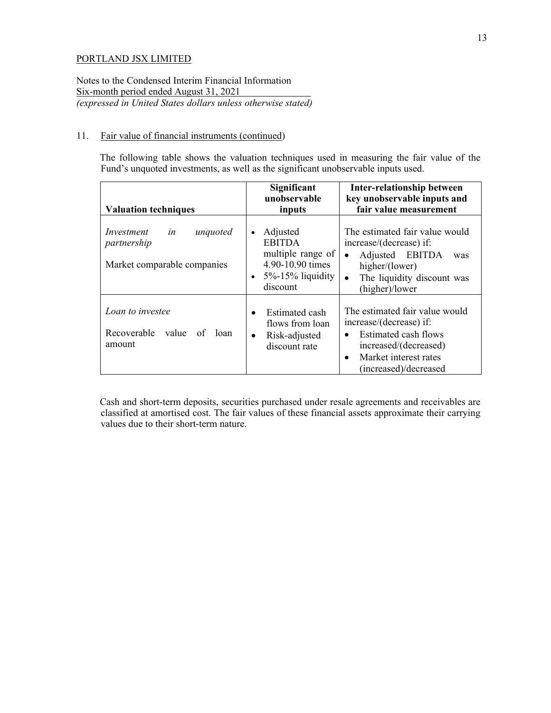Notes to the Condensed Interim Financial Information Six-month period ended August 31, 2021 *(expressed in United States dollars unless otherwise stated)*

#### 11. Fair value of financial instruments (continued)

The following table shows the valuation techniques used in measuring the fair value of the Fund's unquoted investments, as well as the significant unobservable inputs used.

| <b>Valuation techniques</b>                                                | <b>Significant</b><br>unobservable<br>inputs                                                                                     | <b>Inter-relationship between</b><br>key unobservable inputs and<br>fair value measurement                                                                                             |  |
|----------------------------------------------------------------------------|----------------------------------------------------------------------------------------------------------------------------------|----------------------------------------------------------------------------------------------------------------------------------------------------------------------------------------|--|
| in<br>Investment<br>unquoted<br>partnership<br>Market comparable companies | Adjusted<br>$\bullet$<br><b>EBITDA</b><br>multiple range of<br>4.90-10.90 times<br>$5\%$ -15% liquidity<br>$\bullet$<br>discount | The estimated fair value would<br>increase/(decrease) if:<br>Adjusted EBITDA<br>$\bullet$<br>was<br>higher/(lower)<br>The liquidity discount was<br>$\bullet$<br>(higher)/lower        |  |
| Loan to investee<br>Recoverable<br>value<br>of<br>loan<br>amount           | Estimated cash<br>$\bullet$<br>flows from loan<br>Risk-adjusted<br>$\bullet$<br>discount rate                                    | The estimated fair value would<br>increase/(decrease) if:<br>Estimated cash flows<br>$\bullet$<br>increased/(decreased)<br>Market interest rates<br>$\bullet$<br>(increased)/decreased |  |

Cash and short-term deposits, securities purchased under resale agreements and receivables are classified at amortised cost. The fair values of these financial assets approximate their carrying values due to their short-term nature.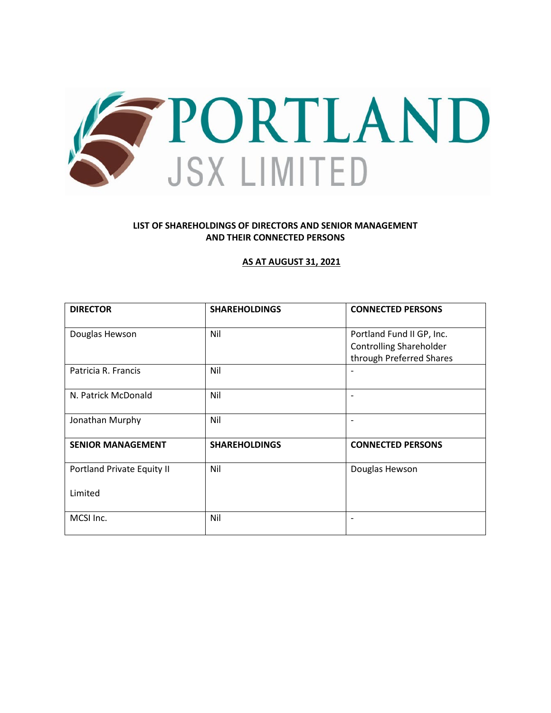

### **LIST OF SHAREHOLDINGS OF DIRECTORS AND SENIOR MANAGEMENT AND THEIR CONNECTED PERSONS**

#### **AS AT AUGUST 31, 2021**

| <b>DIRECTOR</b>            | <b>SHAREHOLDINGS</b> | <b>CONNECTED PERSONS</b>       |
|----------------------------|----------------------|--------------------------------|
| Douglas Hewson             | Nil                  | Portland Fund II GP, Inc.      |
|                            |                      | <b>Controlling Shareholder</b> |
|                            |                      | through Preferred Shares       |
| Patricia R. Francis        | Nil                  |                                |
| N. Patrick McDonald        | Nil                  |                                |
| Jonathan Murphy            | Nil                  |                                |
| <b>SENIOR MANAGEMENT</b>   | <b>SHAREHOLDINGS</b> | <b>CONNECTED PERSONS</b>       |
| Portland Private Equity II | Nil                  | Douglas Hewson                 |
| Limited                    |                      |                                |
| MCSI Inc.                  | Nil                  |                                |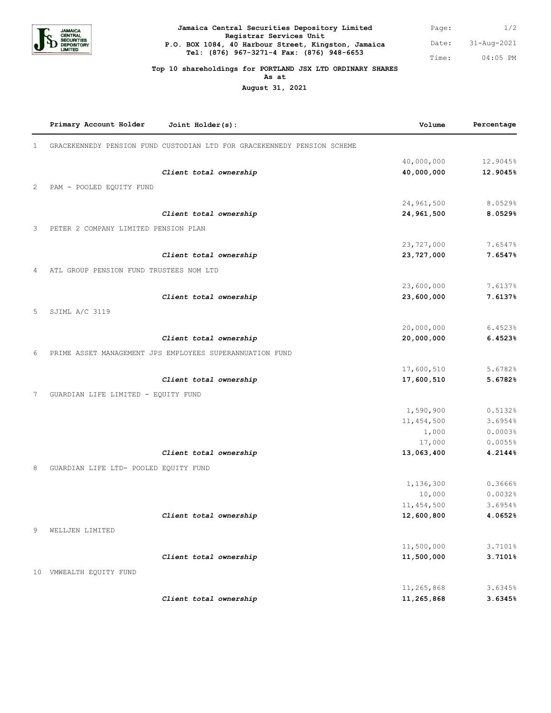

#### **Jamaica Central Securities Depository Limited Registrar Services Unit P.O. BOX 1084, 40 Harbour Street, Kingston, Jamaica Tel: (876) 967-3271-4 Fax: (876) 948-6653**

Page:  $1/2$ Date: 31-Aug-2021 Time: 04:05 PM

#### **Top 10 shareholdings for PORTLAND JSX LTD ORDINARY SHARES**

**As at**

**August 31, 2021**

|              | Primary Account Holder                                   | Joint Holder(s):                                                        | Volume       | Percentage |
|--------------|----------------------------------------------------------|-------------------------------------------------------------------------|--------------|------------|
| $\mathbf{1}$ |                                                          | GRACEKENNEDY PENSION FUND CUSTODIAN LTD FOR GRACEKENNEDY PENSION SCHEME |              |            |
|              |                                                          |                                                                         | 40,000,000   | 12.9045%   |
|              |                                                          | Client total ownership                                                  | 40,000,000   | 12.9045%   |
| 2            | PAM - POOLED EQUITY FUND                                 |                                                                         |              |            |
|              |                                                          |                                                                         | 24,961,500   | 8.0529%    |
|              |                                                          | Client total ownership                                                  | 24,961,500   | 8.0529%    |
| 3            | PETER 2 COMPANY LIMITED PENSION PLAN                     |                                                                         |              |            |
|              |                                                          |                                                                         | 23,727,000   | 7.6547%    |
|              |                                                          | Client total ownership                                                  | 23,727,000   | 7.6547%    |
| 4            | ATL GROUP PENSION FUND TRUSTEES NOM LTD                  |                                                                         |              |            |
|              |                                                          |                                                                         | 23,600,000   | 7.6137%    |
|              |                                                          | Client total ownership                                                  | 23,600,000   | 7.6137%    |
| 5            | SJIML A/C 3119                                           |                                                                         |              |            |
|              |                                                          |                                                                         |              |            |
|              |                                                          |                                                                         | 20,000,000   | 6.4523%    |
|              |                                                          | Client total ownership                                                  | 20,000,000   | 6.4523%    |
| 6            | PRIME ASSET MANAGEMENT JPS EMPLOYEES SUPERANNUATION FUND |                                                                         |              |            |
|              |                                                          |                                                                         | 17,600,510   | 5.6782%    |
|              |                                                          | Client total ownership                                                  | 17,600,510   | 5.6782%    |
| 7            | GUARDIAN LIFE LIMITED - EQUITY FUND                      |                                                                         |              |            |
|              |                                                          |                                                                         | 1,590,900    | 0.5132%    |
|              |                                                          |                                                                         | 11, 454, 500 | 3.6954%    |
|              |                                                          |                                                                         | 1,000        | 0.0003%    |
|              |                                                          |                                                                         | 17,000       | 0.0055%    |
|              |                                                          | Client total ownership                                                  | 13,063,400   | 4.2144%    |
| 8            | GUARDIAN LIFE LTD- POOLED EQUITY FUND                    |                                                                         |              |            |
|              |                                                          |                                                                         | 1,136,300    | 0.3666%    |
|              |                                                          |                                                                         | 10,000       | 0.0032%    |
|              |                                                          |                                                                         | 11, 454, 500 | 3.6954%    |
|              |                                                          | Client total ownership                                                  | 12,600,800   | 4.0652%    |
| 9            | WELLJEN LIMITED                                          |                                                                         |              |            |
|              |                                                          |                                                                         | 11,500,000   | 3.7101%    |
|              |                                                          | Client total ownership                                                  | 11,500,000   | 3.7101%    |
|              | 10 VMWEALTH EQUITY FUND                                  |                                                                         |              |            |
|              |                                                          |                                                                         | 11,265,868   | 3.6345%    |
|              |                                                          | Client total ownership                                                  | 11,265,868   | 3.6345%    |